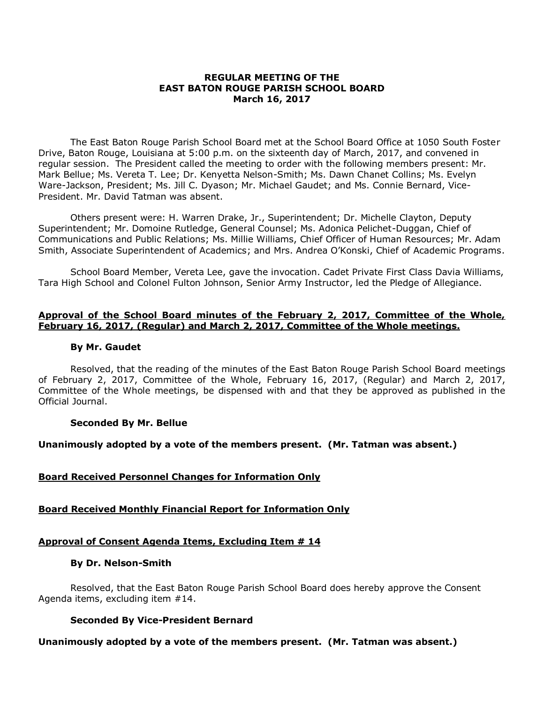### **REGULAR MEETING OF THE EAST BATON ROUGE PARISH SCHOOL BOARD March 16, 2017**

The East Baton Rouge Parish School Board met at the School Board Office at 1050 South Foster Drive, Baton Rouge, Louisiana at 5:00 p.m. on the sixteenth day of March, 2017, and convened in regular session. The President called the meeting to order with the following members present: Mr. Mark Bellue; Ms. Vereta T. Lee; Dr. Kenyetta Nelson-Smith; Ms. Dawn Chanet Collins; Ms. Evelyn Ware-Jackson, President; Ms. Jill C. Dyason; Mr. Michael Gaudet; and Ms. Connie Bernard, Vice-President. Mr. David Tatman was absent.

Others present were: H. Warren Drake, Jr., Superintendent; Dr. Michelle Clayton, Deputy Superintendent; Mr. Domoine Rutledge, General Counsel; Ms. Adonica Pelichet-Duggan, Chief of Communications and Public Relations; Ms. Millie Williams, Chief Officer of Human Resources; Mr. Adam Smith, Associate Superintendent of Academics; and Mrs. Andrea O'Konski, Chief of Academic Programs.

School Board Member, Vereta Lee, gave the invocation. Cadet Private First Class Davia Williams, Tara High School and Colonel Fulton Johnson, Senior Army Instructor, led the Pledge of Allegiance.

### **Approval of the School Board minutes of the February 2, 2017, Committee of the Whole, February 16, 2017, (Regular) and March 2, 2017, Committee of the Whole meetings.**

### **By Mr. Gaudet**

Resolved, that the reading of the minutes of the East Baton Rouge Parish School Board meetings of February 2, 2017, Committee of the Whole, February 16, 2017, (Regular) and March 2, 2017, Committee of the Whole meetings, be dispensed with and that they be approved as published in the Official Journal.

### **Seconded By Mr. Bellue**

### **Unanimously adopted by a vote of the members present. (Mr. Tatman was absent.)**

### **Board Received Personnel Changes for Information Only**

### **Board Received Monthly Financial Report for Information Only**

### **Approval of Consent Agenda Items, Excluding Item # 14**

### **By Dr. Nelson-Smith**

Resolved, that the East Baton Rouge Parish School Board does hereby approve the Consent Agenda items, excluding item #14.

### **Seconded By Vice-President Bernard**

### **Unanimously adopted by a vote of the members present. (Mr. Tatman was absent.)**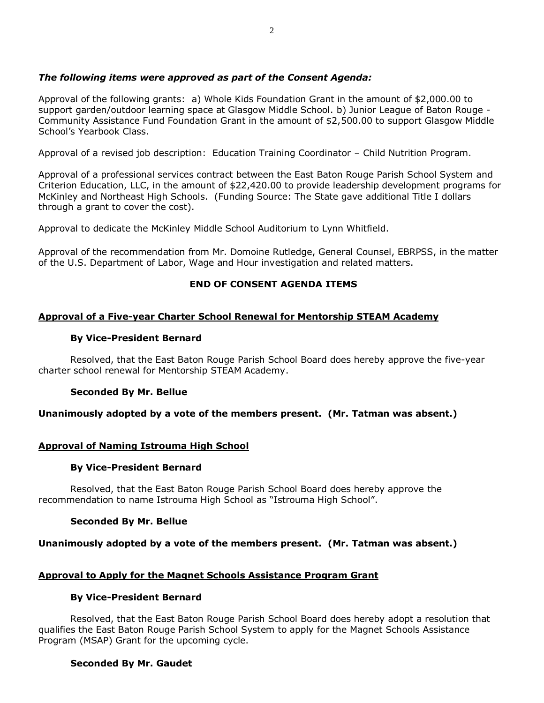# *The following items were approved as part of the Consent Agenda:*

Approval of the following grants: a) Whole Kids Foundation Grant in the amount of \$2,000.00 to support garden/outdoor learning space at Glasgow Middle School. b) Junior League of Baton Rouge - Community Assistance Fund Foundation Grant in the amount of \$2,500.00 to support Glasgow Middle School's Yearbook Class.

Approval of a revised job description: Education Training Coordinator – Child Nutrition Program.

Approval of a professional services contract between the East Baton Rouge Parish School System and Criterion Education, LLC, in the amount of \$22,420.00 to provide leadership development programs for McKinley and Northeast High Schools. (Funding Source: The State gave additional Title I dollars through a grant to cover the cost).

Approval to dedicate the McKinley Middle School Auditorium to Lynn Whitfield.

Approval of the recommendation from Mr. Domoine Rutledge, General Counsel, EBRPSS, in the matter of the U.S. Department of Labor, Wage and Hour investigation and related matters.

# **END OF CONSENT AGENDA ITEMS**

### **Approval of a Five-year Charter School Renewal for Mentorship STEAM Academy**

### **By Vice-President Bernard**

Resolved, that the East Baton Rouge Parish School Board does hereby approve the five-year charter school renewal for Mentorship STEAM Academy.

### **Seconded By Mr. Bellue**

**Unanimously adopted by a vote of the members present. (Mr. Tatman was absent.)**

### **Approval of Naming Istrouma High School**

### **By Vice-President Bernard**

Resolved, that the East Baton Rouge Parish School Board does hereby approve the recommendation to name Istrouma High School as "Istrouma High School".

### **Seconded By Mr. Bellue**

**Unanimously adopted by a vote of the members present. (Mr. Tatman was absent.)**

### **Approval to Apply for the Magnet Schools Assistance Program Grant**

### **By Vice-President Bernard**

Resolved, that the East Baton Rouge Parish School Board does hereby adopt a resolution that qualifies the East Baton Rouge Parish School System to apply for the Magnet Schools Assistance Program (MSAP) Grant for the upcoming cycle.

### **Seconded By Mr. Gaudet**